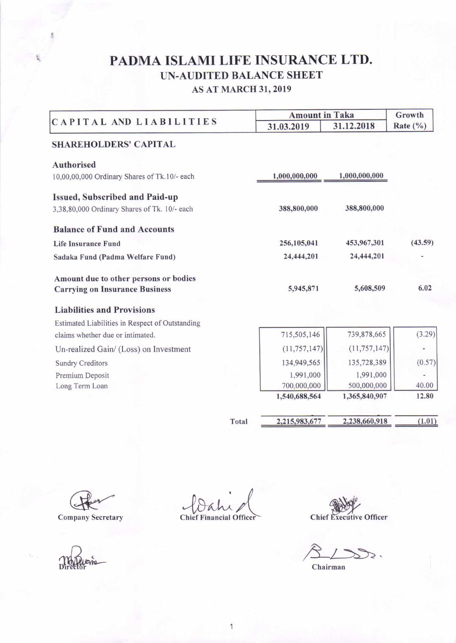## PADMA ISLAMI LIFE INSURANCE LTD. UN-AUDITED BALANCE SHEET AS AT MARCH 3I.2019

| CAPITAL AND LIABILITIES                         |       | <b>Amount in Taka</b> |                | Growth   |  |
|-------------------------------------------------|-------|-----------------------|----------------|----------|--|
|                                                 |       | 31.03.2019            | 31.12.2018     | Rate (%) |  |
| <b>SHAREHOLDERS' CAPITAL</b>                    |       |                       |                |          |  |
| <b>Authorised</b>                               |       |                       |                |          |  |
| 10,00,00,000 Ordinary Shares of Tk.10/- each    |       | 1,000,000,000         | 1,000,000,000  |          |  |
| <b>Issued, Subscribed and Paid-up</b>           |       |                       |                |          |  |
| 3,38,80,000 Ordinary Shares of Tk. 10/- each    |       | 388,800,000           | 388,800,000    |          |  |
| <b>Balance of Fund and Accounts</b>             |       |                       |                |          |  |
| <b>Life Insurance Fund</b>                      |       | 256,105,041           | 453,967,301    | (43.59)  |  |
| Sadaka Fund (Padma Welfare Fund)                |       | 24,444,201            | 24,444,201     |          |  |
| Amount due to other persons or bodies           |       |                       |                |          |  |
| <b>Carrying on Insurance Business</b>           |       | 5,945,871             | 5,608,509      | 6.02     |  |
| <b>Liabilities and Provisions</b>               |       |                       |                |          |  |
| Estimated Liabilities in Respect of Outstanding |       |                       |                |          |  |
| claims whether due or intimated.                |       | 715,505,146           | 739,878,665    | (3.29)   |  |
| Un-realized Gain/ (Loss) on Investment          |       | (11, 757, 147)        | (11, 757, 147) | ٠        |  |
| <b>Sundry Creditors</b>                         |       | 134,949,565           | 135,728,389    | (0.57)   |  |
| Premium Deposit                                 |       | 1,991,000             | 1,991,000      |          |  |
| Long Term Loan                                  |       | 700,000,000           | 500,000,000    | 40.00    |  |
|                                                 |       | 1,540,688,564         | 1,365,840,907  | 12.80    |  |
|                                                 | Total | 2,215,983,677         | 2,238,660,918  | (1.01)   |  |

**Company Secretary** 

 $\gamma$ 

Chief Financial Officer

Chief Executive Officer

 $8/3$ :

Chairman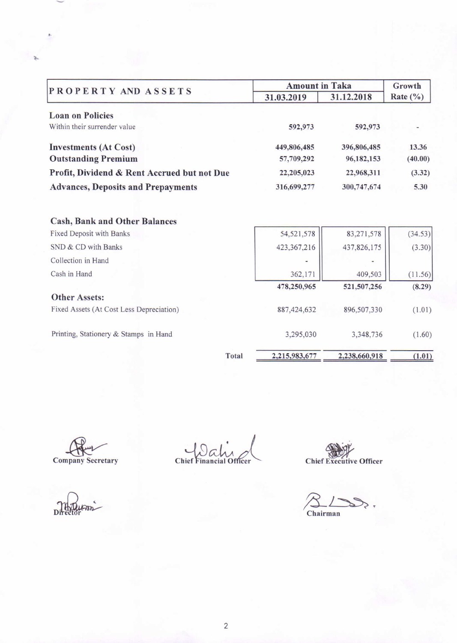| PROPERTY AND ASSETS                         | <b>Amount in Taka</b> |             | Growth       |
|---------------------------------------------|-----------------------|-------------|--------------|
|                                             | 31.03.2019            | 31.12.2018  | Rate $(\% )$ |
| <b>Loan on Policies</b>                     |                       |             |              |
| Within their surrender value                | 592,973               | 592,973     |              |
| <b>Investments (At Cost)</b>                | 449,806,485           | 396,806,485 | 13.36        |
| <b>Outstanding Premium</b>                  | 57,709,292            | 96,182,153  | (40.00)      |
| Profit, Dividend & Rent Accrued but not Due | 22,205,023            | 22,968,311  | (3.32)       |
| <b>Advances, Deposits and Prepayments</b>   | 316,699,277           | 300,747,674 | 5.30         |
|                                             |                       |             |              |
| <b>Cash, Bank and Other Balances</b>        |                       |             |              |
| Fixed Deposit with Banks                    | 54, 521, 578          | 83,271,578  | (34.53)      |
| SND & CD with Banks                         | 423,367,216           | 437,826,175 | (3.30)       |
| Collection in Hand                          | ٠                     |             |              |
| Cash in Hand                                | 362,171               | 409,503     | (11.56)      |
|                                             | 478,250,965           | 521,507,256 | (8.29)       |
| <b>Other Assets:</b>                        |                       |             |              |
| Fixed Assets (At Cost Less Depreciation)    | 887, 424, 632         | 896,507,330 | (1.01)       |
| Printing, Stationery & Stamps in Hand       | 3,295,030             | 3,348,736   | (1.60)       |
|                                             |                       |             |              |

Total

 $2,215,983,677$  2,238,660,918

Company Secretary

Directo

Chief Financial Officer

Chief Executive Officer

 $(1.01)$ 

 $\sum$  Chairman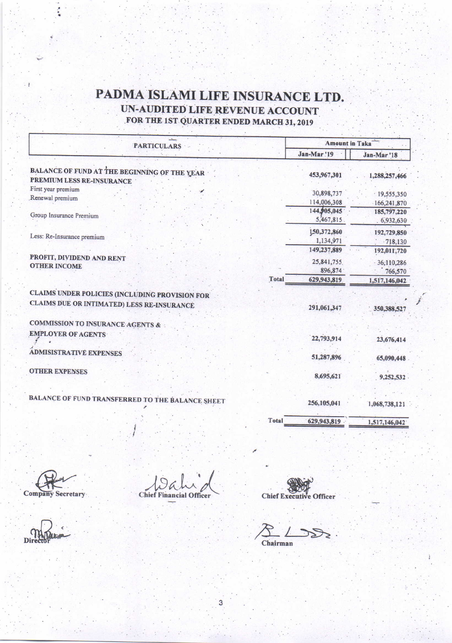## PADMA ISLAMI LIFE INSURANCE LTD. UN-AUDITED LIFE REVENUE ACCOUNT FOR THE 1ST QUARTER ENDED MARCH 31, 2019

| <b>PARTICULARS</b>                                                        |              | <b>Amount in Taka</b>                |                                      |  |
|---------------------------------------------------------------------------|--------------|--------------------------------------|--------------------------------------|--|
|                                                                           |              | Jan-Mar!19                           | Jan-Mar '18                          |  |
| BALANCE OF FUND AT THE BEGINNING OF THE YEAR<br>PREMIUM LESS RE-INSURANCE |              | 453,967,301                          | 1,288,257,466                        |  |
| First year premium<br>Renewal premium                                     |              | 30,898,737<br>114,006,308            | .19,555,350<br>166,241,870           |  |
| Group Insurance Premium                                                   |              | 144,905,045<br>5,467,815             | 185,797,220<br>.6,932,630            |  |
| Less: Re-Insurance premium                                                |              | 150,372,860<br>1,134,971             | 192,729,850<br>$-718,130$            |  |
| PROFIT, DIVIDEND AND RENT<br><b>OTHER INCOME</b>                          |              | 149,237,889<br>25,841,755<br>896,874 | 192,011,720<br>36,110,286<br>766,570 |  |
|                                                                           | <b>Total</b> | 629,943,819                          | 1,517,146,042                        |  |
| CLAIMS UNDER POLICIES (INCLUDING PROVISION FOR                            |              |                                      |                                      |  |
| CLAIMS DUE OR INTIMATED) LESS RE-INSURANCE                                |              | 291,061,347                          | 350,388,527                          |  |
| <b>COMMISSION TO INSURANCE AGENTS &amp;</b>                               |              |                                      |                                      |  |
| <b>EMPLOYER OF AGENTS</b>                                                 |              | 22,793,914                           | 23,676,414                           |  |
| <b>ADMISISTRATIVE EXPENSES</b>                                            |              | 51,287,896                           | 65,090,448                           |  |
| <b>OTHER EXPENSES</b>                                                     |              | 8,695,621                            | 9,252,532                            |  |
| BALANCE OF FUND TRANSFERRED TO THE BALANCE SHEET                          |              | 256,105,041                          | 1,068,738,121                        |  |
|                                                                           | <b>Total</b> | 629,943,819                          | 1,517,146,042                        |  |

3

Company Secretary

**Chief Financial Officer** 

Chief Executive Officer

Chairman